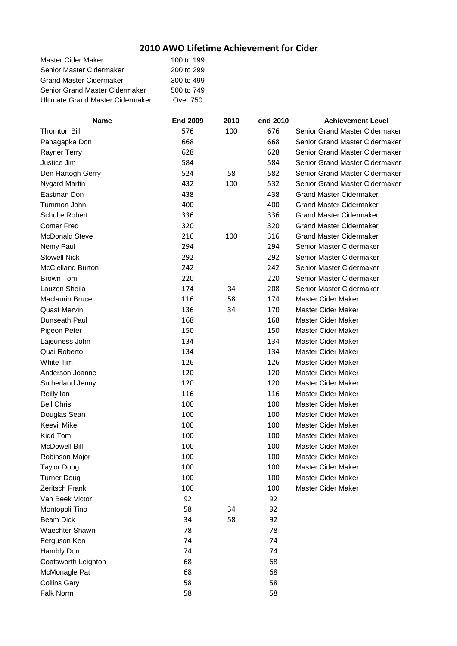## **2010 AWO Lifetime Achievement for Cider**

| Master Cider Maker               | 100 to 199 |
|----------------------------------|------------|
| Senior Master Cidermaker         | 200 to 299 |
| Grand Master Cidermaker          | 300 to 499 |
| Senior Grand Master Cidermaker   | 500 to 749 |
| Ultimate Grand Master Cidermaker | Over 750   |

| <b>Name</b>              | <b>End 2009</b> | 2010 | end 2010 | <b>Achievement Level</b>       |  |
|--------------------------|-----------------|------|----------|--------------------------------|--|
| <b>Thornton Bill</b>     | 576             | 100  | 676      | Senior Grand Master Cidermaker |  |
| Panagapka Don            | 668             |      | 668      | Senior Grand Master Cidermaker |  |
| <b>Rayner Terry</b>      | 628             |      | 628      | Senior Grand Master Cidermaker |  |
| Justice Jim              | 584             |      | 584      | Senior Grand Master Cidermaker |  |
| Den Hartogh Gerry        | 524             | 58   | 582      | Senior Grand Master Cidermaker |  |
| <b>Nygard Martin</b>     | 432             | 100  | 532      | Senior Grand Master Cidermaker |  |
| Eastman Don              | 438             |      | 438      | <b>Grand Master Cidermaker</b> |  |
| Tummon John              | 400             |      | 400      | <b>Grand Master Cidermaker</b> |  |
| <b>Schulte Robert</b>    | 336             |      | 336      | <b>Grand Master Cidermaker</b> |  |
| <b>Comer Fred</b>        | 320             |      | 320      | <b>Grand Master Cidermaker</b> |  |
| <b>McDonald Steve</b>    | 216             | 100  | 316      | <b>Grand Master Cidermaker</b> |  |
| Nemy Paul                | 294             |      | 294      | Senior Master Cidermaker       |  |
| <b>Stowell Nick</b>      | 292             |      | 292      | Senior Master Cidermaker       |  |
| <b>McClelland Burton</b> | 242             |      | 242      | Senior Master Cidermaker       |  |
| <b>Brown Tom</b>         | 220             |      | 220      | Senior Master Cidermaker       |  |
| Lauzon Sheila            | 174             | 34   | 208      | Senior Master Cidermaker       |  |
| <b>Maclaurin Bruce</b>   | 116             | 58   | 174      | <b>Master Cider Maker</b>      |  |
| <b>Quast Mervin</b>      | 136             | 34   | 170      | Master Cider Maker             |  |
| Dunseath Paul            | 168             |      | 168      | <b>Master Cider Maker</b>      |  |
| Pigeon Peter             | 150             |      | 150      | <b>Master Cider Maker</b>      |  |
| Lajeuness John           | 134             |      | 134      | Master Cider Maker             |  |
| Quai Roberto             | 134             |      | 134      | Master Cider Maker             |  |
| <b>White Tim</b>         | 126             |      | 126      | Master Cider Maker             |  |
| Anderson Joanne          | 120             |      | 120      | Master Cider Maker             |  |
| Sutherland Jenny         | 120             |      | 120      | Master Cider Maker             |  |
| Reilly lan               | 116             |      | 116      | <b>Master Cider Maker</b>      |  |
| <b>Bell Chris</b>        | 100             |      | 100      | <b>Master Cider Maker</b>      |  |
| Douglas Sean             | 100             |      | 100      | Master Cider Maker             |  |
| <b>Keevil Mike</b>       | 100             |      | 100      | Master Cider Maker             |  |
| Kidd Tom                 | 100             |      | 100      | Master Cider Maker             |  |
| <b>McDowell Bill</b>     | 100             |      | 100      | Master Cider Maker             |  |
| Robinson Major           | 100             |      | 100      | <b>Master Cider Maker</b>      |  |
| <b>Taylor Doug</b>       | 100             |      | 100      | Master Cider Maker             |  |
| <b>Turner Doug</b>       | 100             |      | 100      | <b>Master Cider Maker</b>      |  |
| Zeritsch Frank           | 100             |      | 100      | Master Cider Maker             |  |
| Van Beek Victor          | 92              |      | 92       |                                |  |
| Montopoli Tino           | 58              | 34   | 92       |                                |  |
| <b>Beam Dick</b>         | 34              | 58   | 92       |                                |  |
| Waechter Shawn           | 78              |      | 78       |                                |  |
| Ferguson Ken             | 74              |      | 74       |                                |  |
| Hambly Don               | 74              |      | 74       |                                |  |
| Coatsworth Leighton      | 68              |      | 68       |                                |  |
| McMonagle Pat            | 68              |      | 68       |                                |  |
| <b>Collins Gary</b>      | 58              |      | 58       |                                |  |
| Falk Norm                | 58              |      | 58       |                                |  |
|                          |                 |      |          |                                |  |